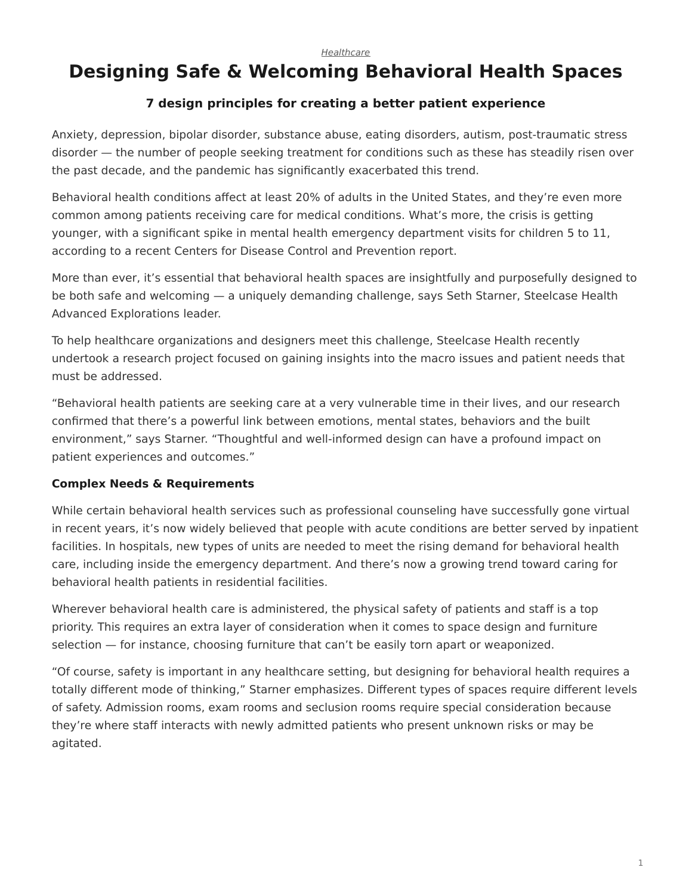# <span id="page-0-0"></span>**Designing Safe & Welcoming Behavioral Health Spaces**

## **7 design principles for creating a better patient experience**

Anxiety, depression, bipolar disorder, substance abuse, eating disorders, autism, post-traumatic stress disorder — the number of people seeking treatment for conditions such as these has steadily risen over the past decade, and the pandemic has significantly exacerbated this trend.

Behavioral health conditions affect at least 20% of adults in the United States, and they're even more common among patients receiving care for medical conditions. What's more, the crisis is getting younger, with a significant spike in mental health emergency department visits for children 5 to 11, according to a recent Centers for Disease Control and Prevention report.

More than ever, it's essential that behavioral health spaces are insightfully and purposefully designed to be both safe and welcoming — a uniquely demanding challenge, says Seth Starner, Steelcase Health Advanced Explorations leader.

To help healthcare organizations and designers meet this challenge, Steelcase Health recently undertook a research project focused on gaining insights into the macro issues and patient needs that must be addressed.

"Behavioral health patients are seeking care at a very vulnerable time in their lives, and our research confirmed that there's a powerful link between emotions, mental states, behaviors and the built environment," says Starner. "Thoughtful and well-informed design can have a profound impact on patient experiences and outcomes."

## **Complex Needs & Requirements**

While certain behavioral health services such as professional counseling have successfully gone virtual in recent years, it's now widely believed that people with acute conditions are better served by inpatient facilities. In hospitals, new types of units are needed to meet the rising demand for behavioral health care, including inside the emergency department. And there's now a growing trend toward caring for behavioral health patients in residential facilities.

Wherever behavioral health care is administered, the physical safety of patients and staff is a top priority. This requires an extra layer of consideration when it comes to space design and furniture selection — for instance, choosing furniture that can't be easily torn apart or weaponized.

"Of course, safety is important in any healthcare setting, but designing for behavioral health requires a totally different mode of thinking," Starner emphasizes. Different types of spaces require different levels of safety. Admission rooms, exam rooms and seclusion rooms require special consideration because they're where staff interacts with newly admitted patients who present unknown risks or may be agitated.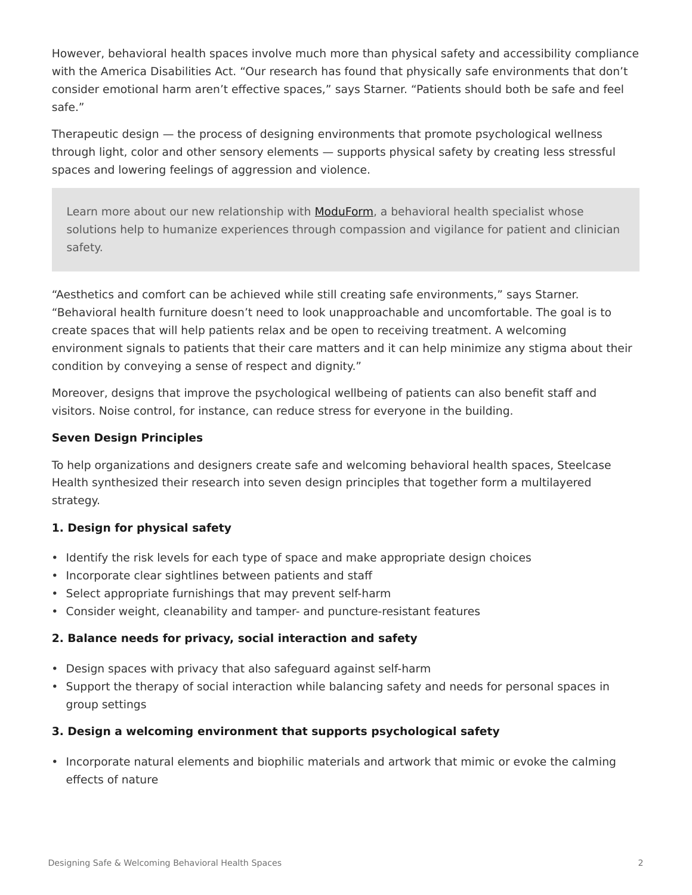However, behavioral health spaces involve much more than physical safety and accessibility compliance with the America Disabilities Act. "Our research has found that physically safe environments that don't consider emotional harm aren't effective spaces," says Starner. "Patients should both be safe and feel safe."

Therapeutic design — the process of designing environments that promote psychological wellness through light, color and other sensory elements — supports physical safety by creating less stressful spaces and lowering feelings of aggression and violence.

Learn more about our new relationship with [ModuForm,](https://www.steelcase.com/brands/partners/moduform/) a behavioral health specialist whose solutions help to humanize experiences through compassion and vigilance for patient and clinician safety.

"Aesthetics and comfort can be achieved while still creating safe environments," says Starner. "Behavioral health furniture doesn't need to look unapproachable and uncomfortable. The goal is to create spaces that will help patients relax and be open to receiving treatment. A welcoming environment signals to patients that their care matters and it can help minimize any stigma about their condition by conveying a sense of respect and dignity."

Moreover, designs that improve the psychological wellbeing of patients can also benefit staff and visitors. Noise control, for instance, can reduce stress for everyone in the building.

## **Seven Design Principles**

To help organizations and designers create safe and welcoming behavioral health spaces, Steelcase Health synthesized their research into seven design principles that together form a multilayered strategy.

## **1. Design for physical safety**

- Identify the risk levels for each type of space and make appropriate design choices
- Incorporate clear sightlines between patients and staff
- Select appropriate furnishings that may prevent self-harm
- Consider weight, cleanability and tamper- and puncture-resistant features

## **2. Balance needs for privacy, social interaction and safety**

- Design spaces with privacy that also safeguard against self-harm
- Support the therapy of social interaction while balancing safety and needs for personal spaces in group settings

## **3. Design a welcoming environment that supports psychological safety**

• Incorporate natural elements and biophilic materials and artwork that mimic or evoke the calming effects of nature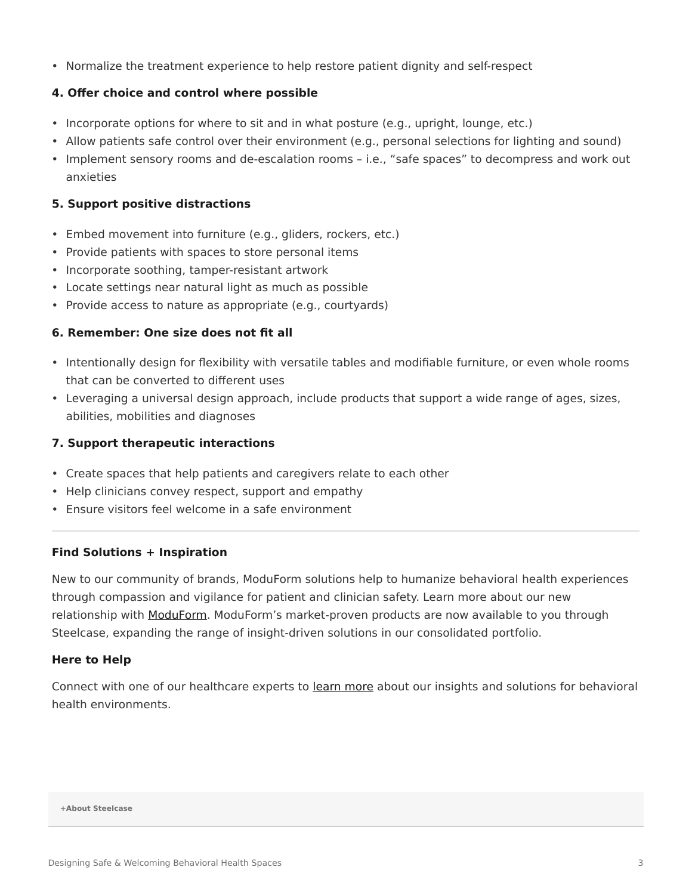• Normalize the treatment experience to help restore patient dignity and self-respect

#### **4. Offer choice and control where possible**

- Incorporate options for where to sit and in what posture (e.g., upright, lounge, etc.)
- Allow patients safe control over their environment (e.g., personal selections for lighting and sound)
- Implement sensory rooms and de-escalation rooms i.e., "safe spaces" to decompress and work out anxieties

## **5. Support positive distractions**

- Embed movement into furniture (e.g., gliders, rockers, etc.)
- Provide patients with spaces to store personal items
- Incorporate soothing, tamper-resistant artwork
- Locate settings near natural light as much as possible
- Provide access to nature as appropriate (e.g., courtyards)

## **6. Remember: One size does not fit all**

- Intentionally design for flexibility with versatile tables and modifiable furniture, or even whole rooms that can be converted to different uses
- Leveraging a universal design approach, include products that support a wide range of ages, sizes, abilities, mobilities and diagnoses

#### **7. Support therapeutic interactions**

- Create spaces that help patients and caregivers relate to each other
- Help clinicians convey respect, support and empathy
- Ensure visitors feel welcome in a safe environment

#### **Find Solutions + Inspiration**

New to our community of brands, ModuForm solutions help to humanize behavioral health experiences through compassion and vigilance for patient and clinician safety. Learn more about our new relationship with [ModuForm](https://www.steelcase.com/brands/partners/moduform/). ModuForm's market-proven products are now available to you through Steelcase, expanding the range of insight-driven solutions in our consolidated portfolio.

#### **Here to Help**

Connect with one of our healthcare experts to [learn more](https://www.steelcase.com/steelcase-health-contact-us-form/) about our insights and solutions for behavioral health environments.

**[+About Steelcase](https://www.steelcase.com/discover/steelcase/our-company/)**